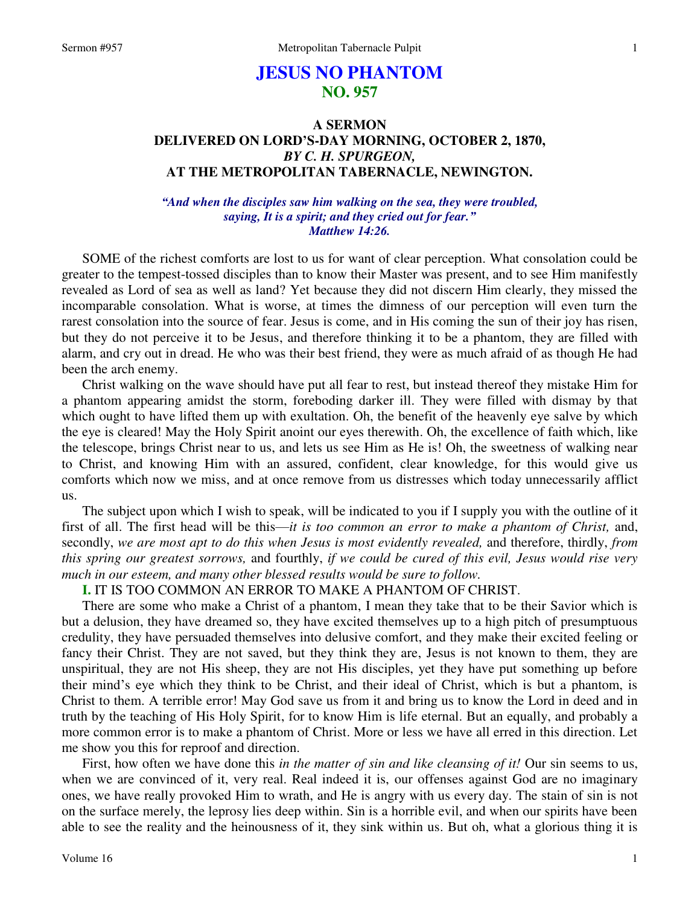# **JESUS NO PHANTOM NO. 957**

# **A SERMON DELIVERED ON LORD'S-DAY MORNING, OCTOBER 2, 1870,**  *BY C. H. SPURGEON,*  **AT THE METROPOLITAN TABERNACLE, NEWINGTON.**

#### *"And when the disciples saw him walking on the sea, they were troubled, saying, It is a spirit; and they cried out for fear." Matthew 14:26.*

SOME of the richest comforts are lost to us for want of clear perception. What consolation could be greater to the tempest-tossed disciples than to know their Master was present, and to see Him manifestly revealed as Lord of sea as well as land? Yet because they did not discern Him clearly, they missed the incomparable consolation. What is worse, at times the dimness of our perception will even turn the rarest consolation into the source of fear. Jesus is come, and in His coming the sun of their joy has risen, but they do not perceive it to be Jesus, and therefore thinking it to be a phantom, they are filled with alarm, and cry out in dread. He who was their best friend, they were as much afraid of as though He had been the arch enemy.

Christ walking on the wave should have put all fear to rest, but instead thereof they mistake Him for a phantom appearing amidst the storm, foreboding darker ill. They were filled with dismay by that which ought to have lifted them up with exultation. Oh, the benefit of the heavenly eye salve by which the eye is cleared! May the Holy Spirit anoint our eyes therewith. Oh, the excellence of faith which, like the telescope, brings Christ near to us, and lets us see Him as He is! Oh, the sweetness of walking near to Christ, and knowing Him with an assured, confident, clear knowledge, for this would give us comforts which now we miss, and at once remove from us distresses which today unnecessarily afflict us.

The subject upon which I wish to speak, will be indicated to you if I supply you with the outline of it first of all. The first head will be this—*it is too common an error to make a phantom of Christ,* and, secondly, *we are most apt to do this when Jesus is most evidently revealed,* and therefore, thirdly, *from this spring our greatest sorrows,* and fourthly, *if we could be cured of this evil, Jesus would rise very much in our esteem, and many other blessed results would be sure to follow.* 

### **I.** IT IS TOO COMMON AN ERROR TO MAKE A PHANTOM OF CHRIST.

There are some who make a Christ of a phantom, I mean they take that to be their Savior which is but a delusion, they have dreamed so, they have excited themselves up to a high pitch of presumptuous credulity, they have persuaded themselves into delusive comfort, and they make their excited feeling or fancy their Christ. They are not saved, but they think they are, Jesus is not known to them, they are unspiritual, they are not His sheep, they are not His disciples, yet they have put something up before their mind's eye which they think to be Christ, and their ideal of Christ, which is but a phantom, is Christ to them. A terrible error! May God save us from it and bring us to know the Lord in deed and in truth by the teaching of His Holy Spirit, for to know Him is life eternal. But an equally, and probably a more common error is to make a phantom of Christ. More or less we have all erred in this direction. Let me show you this for reproof and direction.

First, how often we have done this *in the matter of sin and like cleansing of it!* Our sin seems to us, when we are convinced of it, very real. Real indeed it is, our offenses against God are no imaginary ones, we have really provoked Him to wrath, and He is angry with us every day. The stain of sin is not on the surface merely, the leprosy lies deep within. Sin is a horrible evil, and when our spirits have been able to see the reality and the heinousness of it, they sink within us. But oh, what a glorious thing it is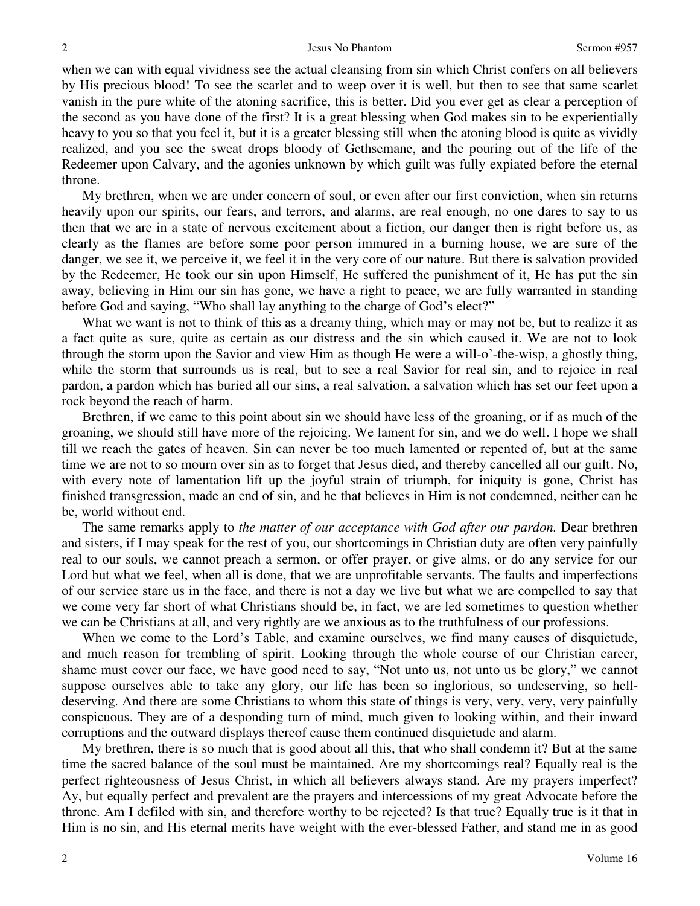when we can with equal vividness see the actual cleansing from sin which Christ confers on all believers by His precious blood! To see the scarlet and to weep over it is well, but then to see that same scarlet vanish in the pure white of the atoning sacrifice, this is better. Did you ever get as clear a perception of the second as you have done of the first? It is a great blessing when God makes sin to be experientially heavy to you so that you feel it, but it is a greater blessing still when the atoning blood is quite as vividly realized, and you see the sweat drops bloody of Gethsemane, and the pouring out of the life of the Redeemer upon Calvary, and the agonies unknown by which guilt was fully expiated before the eternal throne.

My brethren, when we are under concern of soul, or even after our first conviction, when sin returns heavily upon our spirits, our fears, and terrors, and alarms, are real enough, no one dares to say to us then that we are in a state of nervous excitement about a fiction, our danger then is right before us, as clearly as the flames are before some poor person immured in a burning house, we are sure of the danger, we see it, we perceive it, we feel it in the very core of our nature. But there is salvation provided by the Redeemer, He took our sin upon Himself, He suffered the punishment of it, He has put the sin away, believing in Him our sin has gone, we have a right to peace, we are fully warranted in standing before God and saying, "Who shall lay anything to the charge of God's elect?"

What we want is not to think of this as a dreamy thing, which may or may not be, but to realize it as a fact quite as sure, quite as certain as our distress and the sin which caused it. We are not to look through the storm upon the Savior and view Him as though He were a will-o'-the-wisp, a ghostly thing, while the storm that surrounds us is real, but to see a real Savior for real sin, and to rejoice in real pardon, a pardon which has buried all our sins, a real salvation, a salvation which has set our feet upon a rock beyond the reach of harm.

Brethren, if we came to this point about sin we should have less of the groaning, or if as much of the groaning, we should still have more of the rejoicing. We lament for sin, and we do well. I hope we shall till we reach the gates of heaven. Sin can never be too much lamented or repented of, but at the same time we are not to so mourn over sin as to forget that Jesus died, and thereby cancelled all our guilt. No, with every note of lamentation lift up the joyful strain of triumph, for iniquity is gone, Christ has finished transgression, made an end of sin, and he that believes in Him is not condemned, neither can he be, world without end.

The same remarks apply to *the matter of our acceptance with God after our pardon.* Dear brethren and sisters, if I may speak for the rest of you, our shortcomings in Christian duty are often very painfully real to our souls, we cannot preach a sermon, or offer prayer, or give alms, or do any service for our Lord but what we feel, when all is done, that we are unprofitable servants. The faults and imperfections of our service stare us in the face, and there is not a day we live but what we are compelled to say that we come very far short of what Christians should be, in fact, we are led sometimes to question whether we can be Christians at all, and very rightly are we anxious as to the truthfulness of our professions.

When we come to the Lord's Table, and examine ourselves, we find many causes of disquietude, and much reason for trembling of spirit. Looking through the whole course of our Christian career, shame must cover our face, we have good need to say, "Not unto us, not unto us be glory," we cannot suppose ourselves able to take any glory, our life has been so inglorious, so undeserving, so helldeserving. And there are some Christians to whom this state of things is very, very, very, very painfully conspicuous. They are of a desponding turn of mind, much given to looking within, and their inward corruptions and the outward displays thereof cause them continued disquietude and alarm.

My brethren, there is so much that is good about all this, that who shall condemn it? But at the same time the sacred balance of the soul must be maintained. Are my shortcomings real? Equally real is the perfect righteousness of Jesus Christ, in which all believers always stand. Are my prayers imperfect? Ay, but equally perfect and prevalent are the prayers and intercessions of my great Advocate before the throne. Am I defiled with sin, and therefore worthy to be rejected? Is that true? Equally true is it that in Him is no sin, and His eternal merits have weight with the ever-blessed Father, and stand me in as good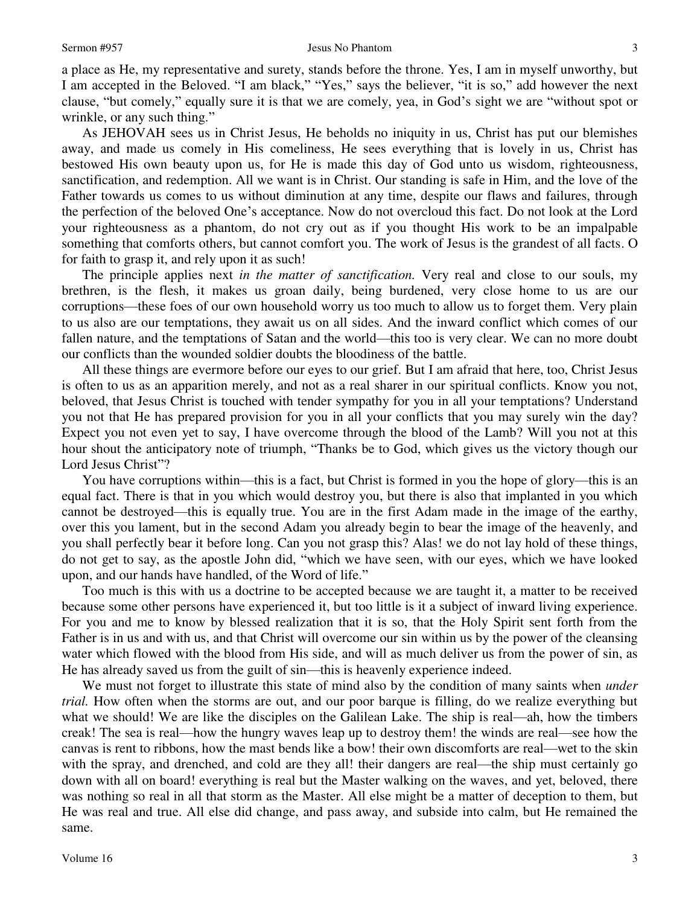a place as He, my representative and surety, stands before the throne. Yes, I am in myself unworthy, but I am accepted in the Beloved. "I am black," "Yes," says the believer, "it is so," add however the next clause, "but comely," equally sure it is that we are comely, yea, in God's sight we are "without spot or wrinkle, or any such thing."

As JEHOVAH sees us in Christ Jesus, He beholds no iniquity in us, Christ has put our blemishes away, and made us comely in His comeliness, He sees everything that is lovely in us, Christ has bestowed His own beauty upon us, for He is made this day of God unto us wisdom, righteousness, sanctification, and redemption. All we want is in Christ. Our standing is safe in Him, and the love of the Father towards us comes to us without diminution at any time, despite our flaws and failures, through the perfection of the beloved One's acceptance. Now do not overcloud this fact. Do not look at the Lord your righteousness as a phantom, do not cry out as if you thought His work to be an impalpable something that comforts others, but cannot comfort you. The work of Jesus is the grandest of all facts. O for faith to grasp it, and rely upon it as such!

The principle applies next *in the matter of sanctification.* Very real and close to our souls, my brethren, is the flesh, it makes us groan daily, being burdened, very close home to us are our corruptions—these foes of our own household worry us too much to allow us to forget them. Very plain to us also are our temptations, they await us on all sides. And the inward conflict which comes of our fallen nature, and the temptations of Satan and the world—this too is very clear. We can no more doubt our conflicts than the wounded soldier doubts the bloodiness of the battle.

All these things are evermore before our eyes to our grief. But I am afraid that here, too, Christ Jesus is often to us as an apparition merely, and not as a real sharer in our spiritual conflicts. Know you not, beloved, that Jesus Christ is touched with tender sympathy for you in all your temptations? Understand you not that He has prepared provision for you in all your conflicts that you may surely win the day? Expect you not even yet to say, I have overcome through the blood of the Lamb? Will you not at this hour shout the anticipatory note of triumph, "Thanks be to God, which gives us the victory though our Lord Jesus Christ"?

You have corruptions within—this is a fact, but Christ is formed in you the hope of glory—this is an equal fact. There is that in you which would destroy you, but there is also that implanted in you which cannot be destroyed—this is equally true. You are in the first Adam made in the image of the earthy, over this you lament, but in the second Adam you already begin to bear the image of the heavenly, and you shall perfectly bear it before long. Can you not grasp this? Alas! we do not lay hold of these things, do not get to say, as the apostle John did, "which we have seen, with our eyes, which we have looked upon, and our hands have handled, of the Word of life."

Too much is this with us a doctrine to be accepted because we are taught it, a matter to be received because some other persons have experienced it, but too little is it a subject of inward living experience. For you and me to know by blessed realization that it is so, that the Holy Spirit sent forth from the Father is in us and with us, and that Christ will overcome our sin within us by the power of the cleansing water which flowed with the blood from His side, and will as much deliver us from the power of sin, as He has already saved us from the guilt of sin—this is heavenly experience indeed.

We must not forget to illustrate this state of mind also by the condition of many saints when *under trial.* How often when the storms are out, and our poor barque is filling, do we realize everything but what we should! We are like the disciples on the Galilean Lake. The ship is real—ah, how the timbers creak! The sea is real—how the hungry waves leap up to destroy them! the winds are real—see how the canvas is rent to ribbons, how the mast bends like a bow! their own discomforts are real—wet to the skin with the spray, and drenched, and cold are they all! their dangers are real—the ship must certainly go down with all on board! everything is real but the Master walking on the waves, and yet, beloved, there was nothing so real in all that storm as the Master. All else might be a matter of deception to them, but He was real and true. All else did change, and pass away, and subside into calm, but He remained the same.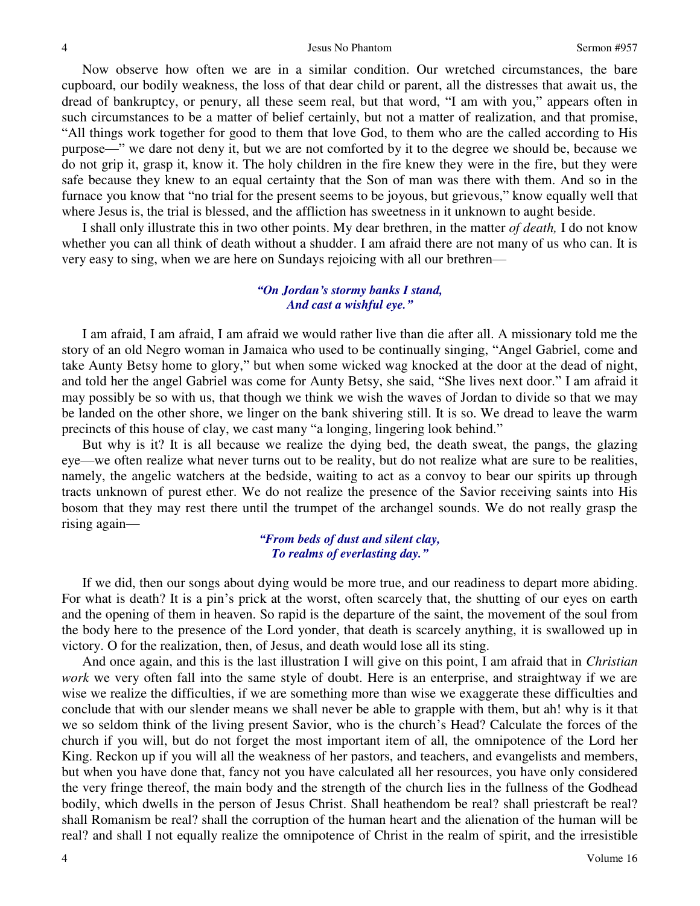Now observe how often we are in a similar condition. Our wretched circumstances, the bare cupboard, our bodily weakness, the loss of that dear child or parent, all the distresses that await us, the dread of bankruptcy, or penury, all these seem real, but that word, "I am with you," appears often in such circumstances to be a matter of belief certainly, but not a matter of realization, and that promise, "All things work together for good to them that love God, to them who are the called according to His purpose—" we dare not deny it, but we are not comforted by it to the degree we should be, because we do not grip it, grasp it, know it. The holy children in the fire knew they were in the fire, but they were safe because they knew to an equal certainty that the Son of man was there with them. And so in the furnace you know that "no trial for the present seems to be joyous, but grievous," know equally well that where Jesus is, the trial is blessed, and the affliction has sweetness in it unknown to aught beside.

I shall only illustrate this in two other points. My dear brethren, in the matter *of death,* I do not know whether you can all think of death without a shudder. I am afraid there are not many of us who can. It is very easy to sing, when we are here on Sundays rejoicing with all our brethren—

### *"On Jordan's stormy banks I stand, And cast a wishful eye."*

I am afraid, I am afraid, I am afraid we would rather live than die after all. A missionary told me the story of an old Negro woman in Jamaica who used to be continually singing, "Angel Gabriel, come and take Aunty Betsy home to glory," but when some wicked wag knocked at the door at the dead of night, and told her the angel Gabriel was come for Aunty Betsy, she said, "She lives next door." I am afraid it may possibly be so with us, that though we think we wish the waves of Jordan to divide so that we may be landed on the other shore, we linger on the bank shivering still. It is so. We dread to leave the warm precincts of this house of clay, we cast many "a longing, lingering look behind."

But why is it? It is all because we realize the dying bed, the death sweat, the pangs, the glazing eye—we often realize what never turns out to be reality, but do not realize what are sure to be realities, namely, the angelic watchers at the bedside, waiting to act as a convoy to bear our spirits up through tracts unknown of purest ether. We do not realize the presence of the Savior receiving saints into His bosom that they may rest there until the trumpet of the archangel sounds. We do not really grasp the rising again—

#### *"From beds of dust and silent clay, To realms of everlasting day."*

If we did, then our songs about dying would be more true, and our readiness to depart more abiding. For what is death? It is a pin's prick at the worst, often scarcely that, the shutting of our eyes on earth and the opening of them in heaven. So rapid is the departure of the saint, the movement of the soul from the body here to the presence of the Lord yonder, that death is scarcely anything, it is swallowed up in victory. O for the realization, then, of Jesus, and death would lose all its sting.

And once again, and this is the last illustration I will give on this point, I am afraid that in *Christian work* we very often fall into the same style of doubt. Here is an enterprise, and straightway if we are wise we realize the difficulties, if we are something more than wise we exaggerate these difficulties and conclude that with our slender means we shall never be able to grapple with them, but ah! why is it that we so seldom think of the living present Savior, who is the church's Head? Calculate the forces of the church if you will, but do not forget the most important item of all, the omnipotence of the Lord her King. Reckon up if you will all the weakness of her pastors, and teachers, and evangelists and members, but when you have done that, fancy not you have calculated all her resources, you have only considered the very fringe thereof, the main body and the strength of the church lies in the fullness of the Godhead bodily, which dwells in the person of Jesus Christ. Shall heathendom be real? shall priestcraft be real? shall Romanism be real? shall the corruption of the human heart and the alienation of the human will be real? and shall I not equally realize the omnipotence of Christ in the realm of spirit, and the irresistible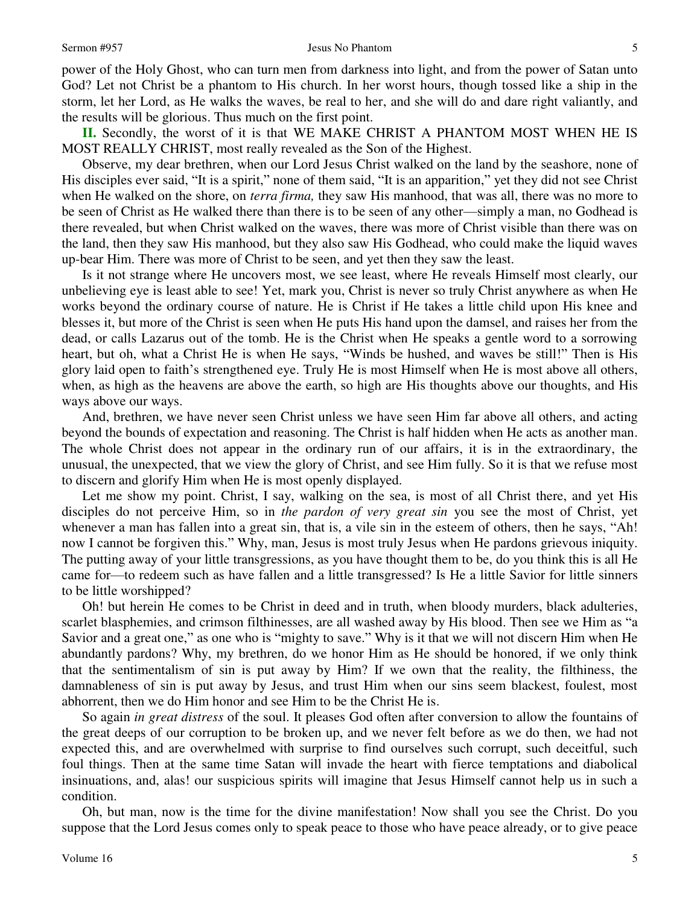power of the Holy Ghost, who can turn men from darkness into light, and from the power of Satan unto God? Let not Christ be a phantom to His church. In her worst hours, though tossed like a ship in the storm, let her Lord, as He walks the waves, be real to her, and she will do and dare right valiantly, and the results will be glorious. Thus much on the first point.

**II.** Secondly, the worst of it is that WE MAKE CHRIST A PHANTOM MOST WHEN HE IS MOST REALLY CHRIST, most really revealed as the Son of the Highest.

Observe, my dear brethren, when our Lord Jesus Christ walked on the land by the seashore, none of His disciples ever said, "It is a spirit," none of them said, "It is an apparition," yet they did not see Christ when He walked on the shore, on *terra firma,* they saw His manhood, that was all, there was no more to be seen of Christ as He walked there than there is to be seen of any other—simply a man, no Godhead is there revealed, but when Christ walked on the waves, there was more of Christ visible than there was on the land, then they saw His manhood, but they also saw His Godhead, who could make the liquid waves up-bear Him. There was more of Christ to be seen, and yet then they saw the least.

Is it not strange where He uncovers most, we see least, where He reveals Himself most clearly, our unbelieving eye is least able to see! Yet, mark you, Christ is never so truly Christ anywhere as when He works beyond the ordinary course of nature. He is Christ if He takes a little child upon His knee and blesses it, but more of the Christ is seen when He puts His hand upon the damsel, and raises her from the dead, or calls Lazarus out of the tomb. He is the Christ when He speaks a gentle word to a sorrowing heart, but oh, what a Christ He is when He says, "Winds be hushed, and waves be still!" Then is His glory laid open to faith's strengthened eye. Truly He is most Himself when He is most above all others, when, as high as the heavens are above the earth, so high are His thoughts above our thoughts, and His ways above our ways.

And, brethren, we have never seen Christ unless we have seen Him far above all others, and acting beyond the bounds of expectation and reasoning. The Christ is half hidden when He acts as another man. The whole Christ does not appear in the ordinary run of our affairs, it is in the extraordinary, the unusual, the unexpected, that we view the glory of Christ, and see Him fully. So it is that we refuse most to discern and glorify Him when He is most openly displayed.

Let me show my point. Christ, I say, walking on the sea, is most of all Christ there, and yet His disciples do not perceive Him, so in *the pardon of very great sin* you see the most of Christ, yet whenever a man has fallen into a great sin, that is, a vile sin in the esteem of others, then he says, "Ah! now I cannot be forgiven this." Why, man, Jesus is most truly Jesus when He pardons grievous iniquity. The putting away of your little transgressions, as you have thought them to be, do you think this is all He came for—to redeem such as have fallen and a little transgressed? Is He a little Savior for little sinners to be little worshipped?

Oh! but herein He comes to be Christ in deed and in truth, when bloody murders, black adulteries, scarlet blasphemies, and crimson filthinesses, are all washed away by His blood. Then see we Him as "a Savior and a great one," as one who is "mighty to save." Why is it that we will not discern Him when He abundantly pardons? Why, my brethren, do we honor Him as He should be honored, if we only think that the sentimentalism of sin is put away by Him? If we own that the reality, the filthiness, the damnableness of sin is put away by Jesus, and trust Him when our sins seem blackest, foulest, most abhorrent, then we do Him honor and see Him to be the Christ He is.

So again *in great distress* of the soul. It pleases God often after conversion to allow the fountains of the great deeps of our corruption to be broken up, and we never felt before as we do then, we had not expected this, and are overwhelmed with surprise to find ourselves such corrupt, such deceitful, such foul things. Then at the same time Satan will invade the heart with fierce temptations and diabolical insinuations, and, alas! our suspicious spirits will imagine that Jesus Himself cannot help us in such a condition.

Oh, but man, now is the time for the divine manifestation! Now shall you see the Christ. Do you suppose that the Lord Jesus comes only to speak peace to those who have peace already, or to give peace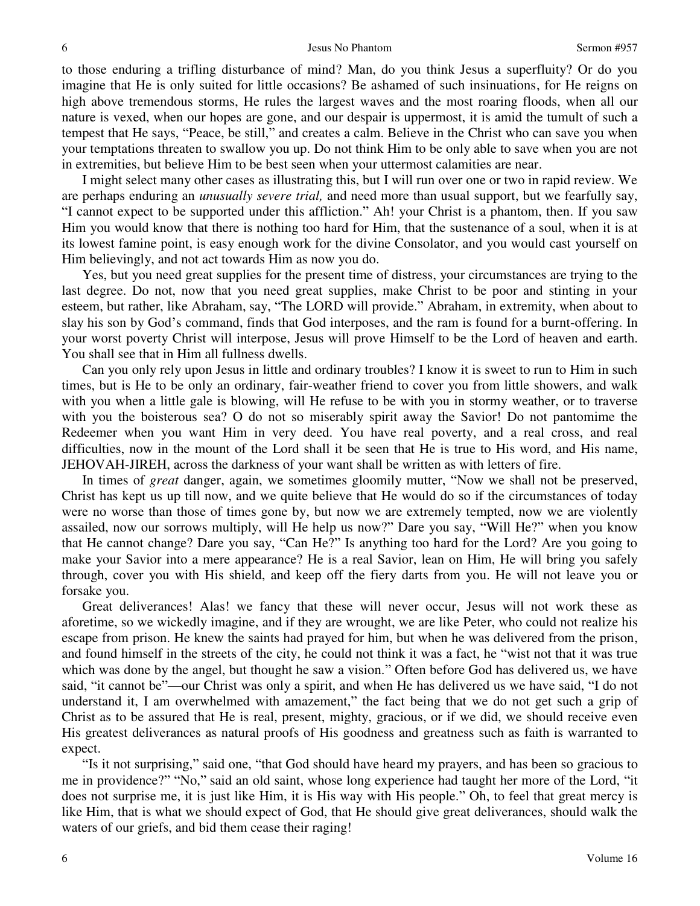to those enduring a trifling disturbance of mind? Man, do you think Jesus a superfluity? Or do you imagine that He is only suited for little occasions? Be ashamed of such insinuations, for He reigns on high above tremendous storms, He rules the largest waves and the most roaring floods, when all our nature is vexed, when our hopes are gone, and our despair is uppermost, it is amid the tumult of such a tempest that He says, "Peace, be still," and creates a calm. Believe in the Christ who can save you when your temptations threaten to swallow you up. Do not think Him to be only able to save when you are not in extremities, but believe Him to be best seen when your uttermost calamities are near.

I might select many other cases as illustrating this, but I will run over one or two in rapid review. We are perhaps enduring an *unusually severe trial,* and need more than usual support, but we fearfully say, "I cannot expect to be supported under this affliction." Ah! your Christ is a phantom, then. If you saw Him you would know that there is nothing too hard for Him, that the sustenance of a soul, when it is at its lowest famine point, is easy enough work for the divine Consolator, and you would cast yourself on Him believingly, and not act towards Him as now you do.

Yes, but you need great supplies for the present time of distress, your circumstances are trying to the last degree. Do not, now that you need great supplies, make Christ to be poor and stinting in your esteem, but rather, like Abraham, say, "The LORD will provide." Abraham, in extremity, when about to slay his son by God's command, finds that God interposes, and the ram is found for a burnt-offering. In your worst poverty Christ will interpose, Jesus will prove Himself to be the Lord of heaven and earth. You shall see that in Him all fullness dwells.

Can you only rely upon Jesus in little and ordinary troubles? I know it is sweet to run to Him in such times, but is He to be only an ordinary, fair-weather friend to cover you from little showers, and walk with you when a little gale is blowing, will He refuse to be with you in stormy weather, or to traverse with you the boisterous sea? O do not so miserably spirit away the Savior! Do not pantomime the Redeemer when you want Him in very deed. You have real poverty, and a real cross, and real difficulties, now in the mount of the Lord shall it be seen that He is true to His word, and His name, JEHOVAH-JIREH, across the darkness of your want shall be written as with letters of fire.

In times of *great* danger, again, we sometimes gloomily mutter, "Now we shall not be preserved, Christ has kept us up till now, and we quite believe that He would do so if the circumstances of today were no worse than those of times gone by, but now we are extremely tempted, now we are violently assailed, now our sorrows multiply, will He help us now?" Dare you say, "Will He?" when you know that He cannot change? Dare you say, "Can He?" Is anything too hard for the Lord? Are you going to make your Savior into a mere appearance? He is a real Savior, lean on Him, He will bring you safely through, cover you with His shield, and keep off the fiery darts from you. He will not leave you or forsake you.

Great deliverances! Alas! we fancy that these will never occur, Jesus will not work these as aforetime, so we wickedly imagine, and if they are wrought, we are like Peter, who could not realize his escape from prison. He knew the saints had prayed for him, but when he was delivered from the prison, and found himself in the streets of the city, he could not think it was a fact, he "wist not that it was true which was done by the angel, but thought he saw a vision." Often before God has delivered us, we have said, "it cannot be"—our Christ was only a spirit, and when He has delivered us we have said, "I do not understand it, I am overwhelmed with amazement," the fact being that we do not get such a grip of Christ as to be assured that He is real, present, mighty, gracious, or if we did, we should receive even His greatest deliverances as natural proofs of His goodness and greatness such as faith is warranted to expect.

"Is it not surprising," said one, "that God should have heard my prayers, and has been so gracious to me in providence?" "No," said an old saint, whose long experience had taught her more of the Lord, "it does not surprise me, it is just like Him, it is His way with His people." Oh, to feel that great mercy is like Him, that is what we should expect of God, that He should give great deliverances, should walk the waters of our griefs, and bid them cease their raging!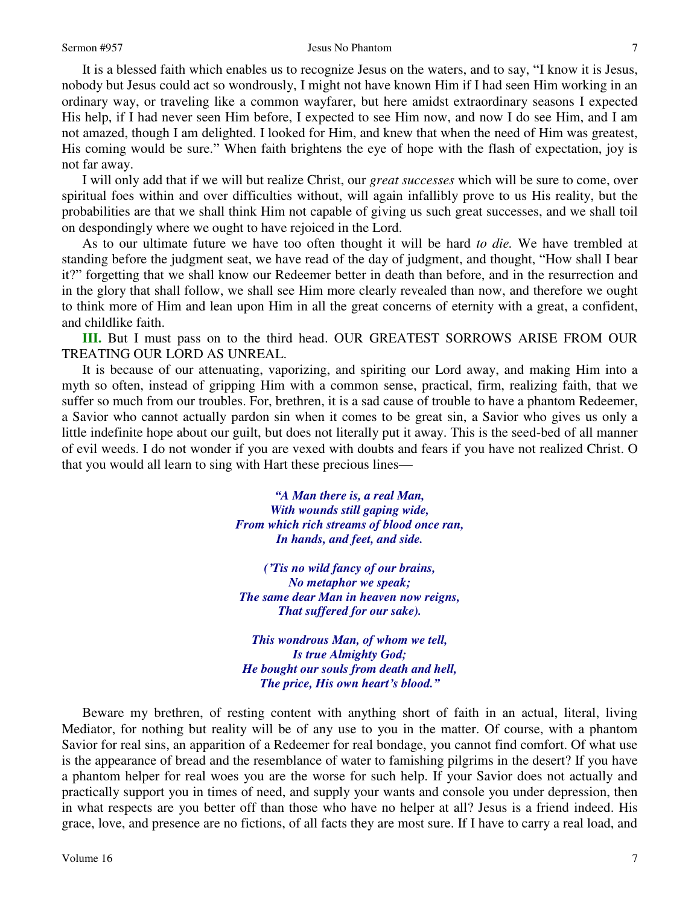It is a blessed faith which enables us to recognize Jesus on the waters, and to say, "I know it is Jesus, nobody but Jesus could act so wondrously, I might not have known Him if I had seen Him working in an ordinary way, or traveling like a common wayfarer, but here amidst extraordinary seasons I expected His help, if I had never seen Him before, I expected to see Him now, and now I do see Him, and I am not amazed, though I am delighted. I looked for Him, and knew that when the need of Him was greatest, His coming would be sure." When faith brightens the eye of hope with the flash of expectation, joy is not far away.

I will only add that if we will but realize Christ, our *great successes* which will be sure to come, over spiritual foes within and over difficulties without, will again infallibly prove to us His reality, but the probabilities are that we shall think Him not capable of giving us such great successes, and we shall toil on despondingly where we ought to have rejoiced in the Lord.

As to our ultimate future we have too often thought it will be hard *to die.* We have trembled at standing before the judgment seat, we have read of the day of judgment, and thought, "How shall I bear it?" forgetting that we shall know our Redeemer better in death than before, and in the resurrection and in the glory that shall follow, we shall see Him more clearly revealed than now, and therefore we ought to think more of Him and lean upon Him in all the great concerns of eternity with a great, a confident, and childlike faith.

**III.** But I must pass on to the third head. OUR GREATEST SORROWS ARISE FROM OUR TREATING OUR LORD AS UNREAL.

It is because of our attenuating, vaporizing, and spiriting our Lord away, and making Him into a myth so often, instead of gripping Him with a common sense, practical, firm, realizing faith, that we suffer so much from our troubles. For, brethren, it is a sad cause of trouble to have a phantom Redeemer, a Savior who cannot actually pardon sin when it comes to be great sin, a Savior who gives us only a little indefinite hope about our guilt, but does not literally put it away. This is the seed-bed of all manner of evil weeds. I do not wonder if you are vexed with doubts and fears if you have not realized Christ. O that you would all learn to sing with Hart these precious lines—

> *"A Man there is, a real Man, With wounds still gaping wide, From which rich streams of blood once ran, In hands, and feet, and side.*

*('Tis no wild fancy of our brains, No metaphor we speak; The same dear Man in heaven now reigns, That suffered for our sake).* 

*This wondrous Man, of whom we tell, Is true Almighty God; He bought our souls from death and hell, The price, His own heart's blood."*

Beware my brethren, of resting content with anything short of faith in an actual, literal, living Mediator, for nothing but reality will be of any use to you in the matter. Of course, with a phantom Savior for real sins, an apparition of a Redeemer for real bondage, you cannot find comfort. Of what use is the appearance of bread and the resemblance of water to famishing pilgrims in the desert? If you have a phantom helper for real woes you are the worse for such help. If your Savior does not actually and practically support you in times of need, and supply your wants and console you under depression, then in what respects are you better off than those who have no helper at all? Jesus is a friend indeed. His grace, love, and presence are no fictions, of all facts they are most sure. If I have to carry a real load, and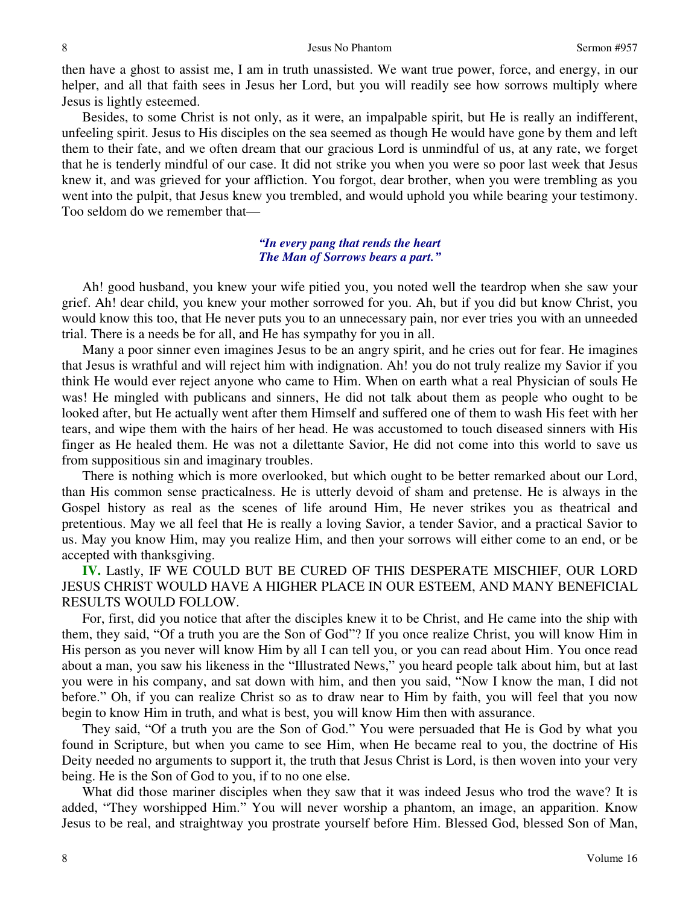then have a ghost to assist me, I am in truth unassisted. We want true power, force, and energy, in our helper, and all that faith sees in Jesus her Lord, but you will readily see how sorrows multiply where Jesus is lightly esteemed.

Besides, to some Christ is not only, as it were, an impalpable spirit, but He is really an indifferent, unfeeling spirit. Jesus to His disciples on the sea seemed as though He would have gone by them and left them to their fate, and we often dream that our gracious Lord is unmindful of us, at any rate, we forget that he is tenderly mindful of our case. It did not strike you when you were so poor last week that Jesus knew it, and was grieved for your affliction. You forgot, dear brother, when you were trembling as you went into the pulpit, that Jesus knew you trembled, and would uphold you while bearing your testimony. Too seldom do we remember that—

#### *"In every pang that rends the heart The Man of Sorrows bears a part."*

Ah! good husband, you knew your wife pitied you, you noted well the teardrop when she saw your grief. Ah! dear child, you knew your mother sorrowed for you. Ah, but if you did but know Christ, you would know this too, that He never puts you to an unnecessary pain, nor ever tries you with an unneeded trial. There is a needs be for all, and He has sympathy for you in all.

Many a poor sinner even imagines Jesus to be an angry spirit, and he cries out for fear. He imagines that Jesus is wrathful and will reject him with indignation. Ah! you do not truly realize my Savior if you think He would ever reject anyone who came to Him. When on earth what a real Physician of souls He was! He mingled with publicans and sinners, He did not talk about them as people who ought to be looked after, but He actually went after them Himself and suffered one of them to wash His feet with her tears, and wipe them with the hairs of her head. He was accustomed to touch diseased sinners with His finger as He healed them. He was not a dilettante Savior, He did not come into this world to save us from suppositious sin and imaginary troubles.

There is nothing which is more overlooked, but which ought to be better remarked about our Lord, than His common sense practicalness. He is utterly devoid of sham and pretense. He is always in the Gospel history as real as the scenes of life around Him, He never strikes you as theatrical and pretentious. May we all feel that He is really a loving Savior, a tender Savior, and a practical Savior to us. May you know Him, may you realize Him, and then your sorrows will either come to an end, or be accepted with thanksgiving.

## **IV.** Lastly, IF WE COULD BUT BE CURED OF THIS DESPERATE MISCHIEF, OUR LORD JESUS CHRIST WOULD HAVE A HIGHER PLACE IN OUR ESTEEM, AND MANY BENEFICIAL RESULTS WOULD FOLLOW.

For, first, did you notice that after the disciples knew it to be Christ, and He came into the ship with them, they said, "Of a truth you are the Son of God"? If you once realize Christ, you will know Him in His person as you never will know Him by all I can tell you, or you can read about Him. You once read about a man, you saw his likeness in the "Illustrated News," you heard people talk about him, but at last you were in his company, and sat down with him, and then you said, "Now I know the man, I did not before." Oh, if you can realize Christ so as to draw near to Him by faith, you will feel that you now begin to know Him in truth, and what is best, you will know Him then with assurance.

They said, "Of a truth you are the Son of God." You were persuaded that He is God by what you found in Scripture, but when you came to see Him, when He became real to you, the doctrine of His Deity needed no arguments to support it, the truth that Jesus Christ is Lord, is then woven into your very being. He is the Son of God to you, if to no one else.

What did those mariner disciples when they saw that it was indeed Jesus who trod the wave? It is added, "They worshipped Him." You will never worship a phantom, an image, an apparition. Know Jesus to be real, and straightway you prostrate yourself before Him. Blessed God, blessed Son of Man,